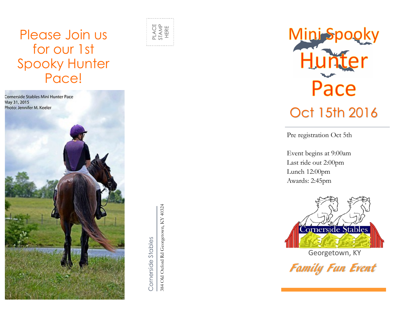# Please Join us for our 1st Spooky Hunter Pace!



Cornerside Stables

384 Old Oxford Rd Georgetown, KY 40324<br>384 Old Oxford Rd Georgetown, KY 40324

PLACE<br>STAMP<br>HERE



Pre registration Oct 5th

Event begins at 9:00am Last ride out 2:00pm Lunch 12:00pm Awards: 2:45pm



Georgetown, KY